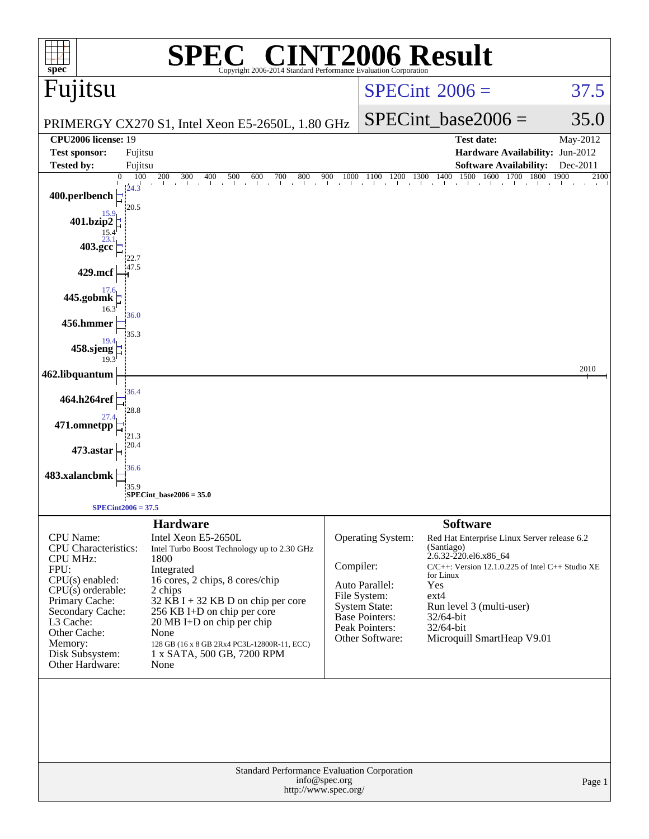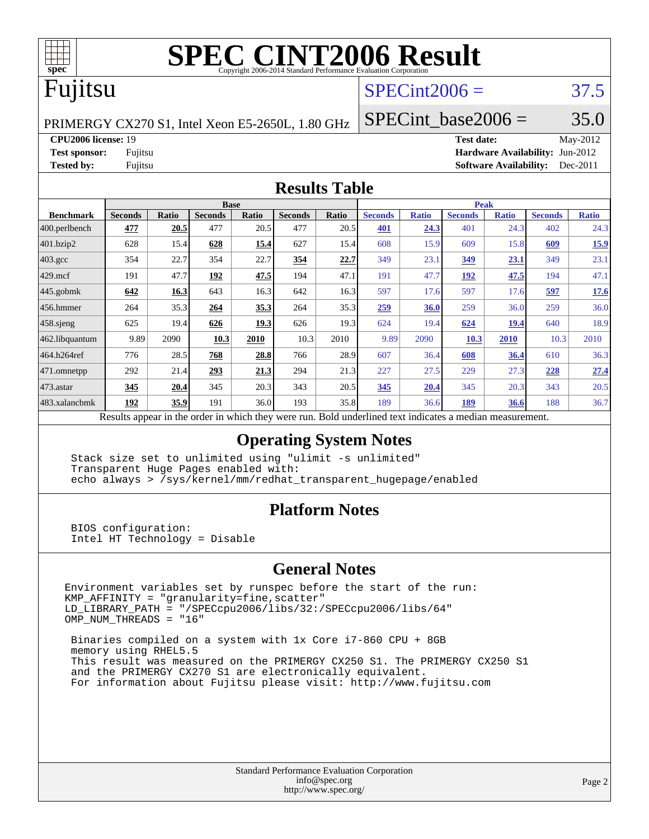

# **[SPEC CINT2006 Result](http://www.spec.org/auto/cpu2006/Docs/result-fields.html#SPECCINT2006Result)**

## Fujitsu

### $SPECint2006 = 37.5$  $SPECint2006 = 37.5$

PRIMERGY CX270 S1, Intel Xeon E5-2650L, 1.80 GHz

SPECint base2006 =  $35.0$ 

**[CPU2006 license:](http://www.spec.org/auto/cpu2006/Docs/result-fields.html#CPU2006license)** 19 **[Test date:](http://www.spec.org/auto/cpu2006/Docs/result-fields.html#Testdate)** May-2012

**[Test sponsor:](http://www.spec.org/auto/cpu2006/Docs/result-fields.html#Testsponsor)** Fujitsu **[Hardware Availability:](http://www.spec.org/auto/cpu2006/Docs/result-fields.html#HardwareAvailability)** Jun-2012 **[Tested by:](http://www.spec.org/auto/cpu2006/Docs/result-fields.html#Testedby)** Fujitsu **[Software Availability:](http://www.spec.org/auto/cpu2006/Docs/result-fields.html#SoftwareAvailability)** Dec-2011

#### **[Results Table](http://www.spec.org/auto/cpu2006/Docs/result-fields.html#ResultsTable)**

|                                                                                                          | <b>Base</b>    |              |                |       |                | <b>Peak</b> |                |              |                |              |                |              |
|----------------------------------------------------------------------------------------------------------|----------------|--------------|----------------|-------|----------------|-------------|----------------|--------------|----------------|--------------|----------------|--------------|
| <b>Benchmark</b>                                                                                         | <b>Seconds</b> | <b>Ratio</b> | <b>Seconds</b> | Ratio | <b>Seconds</b> | Ratio       | <b>Seconds</b> | <b>Ratio</b> | <b>Seconds</b> | <b>Ratio</b> | <b>Seconds</b> | <b>Ratio</b> |
| $ 400$ .perlbench                                                                                        | 477            | 20.5         | 477            | 20.5  | 477            | 20.5        | 401            | 24.3         | 401            | 24.3         | 402            | 24.3         |
| 401.bzip2                                                                                                | 628            | 15.4         | 628            | 15.4  | 627            | 15.4        | 608            | 15.9         | 609            | 15.8         | 609            | 15.9         |
| $403.\mathrm{gcc}$                                                                                       | 354            | 22.7         | 354            | 22.7  | 354            | 22.7        | 349            | 23.1         | 349            | 23.1         | 349            | 23.1         |
| $429$ mcf                                                                                                | 191            | 47.7         | 192            | 47.5  | 194            | 47.1        | 191            | 47.7         | 192            | 47.5         | 194            | 47.1         |
| $445$ .gobmk                                                                                             | 642            | 16.3         | 643            | 16.3  | 642            | 16.3        | 597            | 17.6         | 597            | 17.6         | 597            | 17.6         |
| $456.$ hmmer                                                                                             | 264            | 35.3         | 264            | 35.3  | 264            | 35.3        | 259            | 36.0         | 259            | 36.0         | 259            | 36.0         |
| $458$ .sjeng                                                                                             | 625            | 19.4         | 626            | 19.3  | 626            | 19.3        | 624            | 19.4         | 624            | 19.4         | 640            | 18.9         |
| 462.libquantum                                                                                           | 9.89           | 2090         | 10.3           | 2010  | 10.3           | 2010        | 9.89           | 2090         | 10.3           | 2010         | 10.3           | 2010         |
| 464.h264ref                                                                                              | 776            | 28.5         | 768            | 28.8  | 766            | 28.9        | 607            | 36.4         | 608            | 36.4         | 610            | 36.3         |
| $ 471$ .omnetpp                                                                                          | 292            | 21.4         | 293            | 21.3  | 294            | 21.3        | 227            | 27.5         | 229            | 27.3         | 228            | 27.4         |
| $ 473$ . astar                                                                                           | 345            | 20.4         | 345            | 20.3  | 343            | 20.5        | 345            | 20.4         | 345            | 20.3         | 343            | 20.5         |
| 483.xalancbmk                                                                                            | 192            | 35.9         | 191            | 36.0  | 193            | 35.8        | 189            | 36.6         | 189            | 36.6         | 188            | 36.7         |
| Results appear in the order in which they were run. Bold underlined text indicates a median measurement. |                |              |                |       |                |             |                |              |                |              |                |              |

#### **[Operating System Notes](http://www.spec.org/auto/cpu2006/Docs/result-fields.html#OperatingSystemNotes)**

 Stack size set to unlimited using "ulimit -s unlimited" Transparent Huge Pages enabled with: echo always > /sys/kernel/mm/redhat\_transparent\_hugepage/enabled

#### **[Platform Notes](http://www.spec.org/auto/cpu2006/Docs/result-fields.html#PlatformNotes)**

 BIOS configuration: Intel HT Technology = Disable

#### **[General Notes](http://www.spec.org/auto/cpu2006/Docs/result-fields.html#GeneralNotes)**

Environment variables set by runspec before the start of the run: KMP\_AFFINITY = "granularity=fine,scatter" LD\_LIBRARY\_PATH = "/SPECcpu2006/libs/32:/SPECcpu2006/libs/64" OMP\_NUM\_THREADS = "16"

 Binaries compiled on a system with 1x Core i7-860 CPU + 8GB memory using RHEL5.5 This result was measured on the PRIMERGY CX250 S1. The PRIMERGY CX250 S1 and the PRIMERGY CX270 S1 are electronically equivalent. For information about Fujitsu please visit: <http://www.fujitsu.com>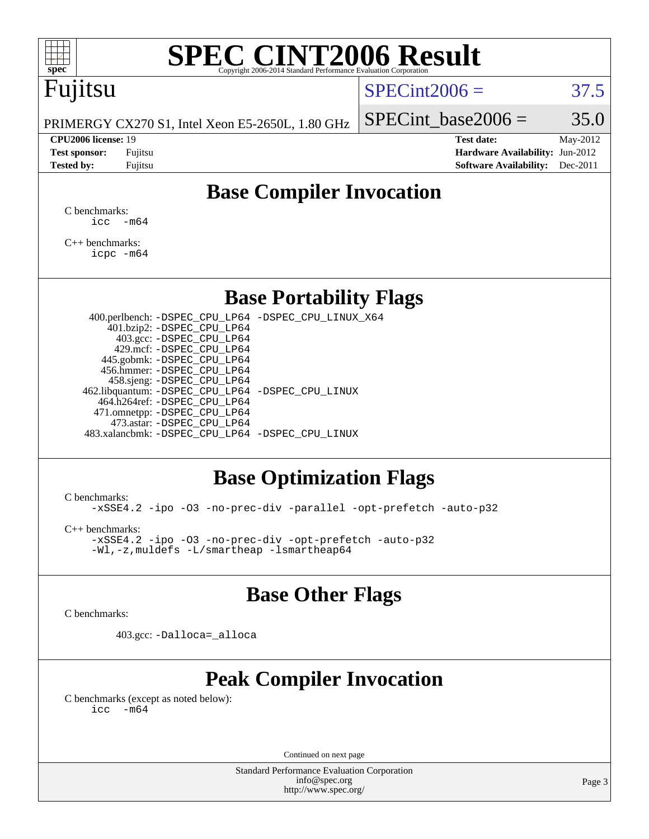# **[SPEC CINT2006 Result](http://www.spec.org/auto/cpu2006/Docs/result-fields.html#SPECCINT2006Result)**

# Fujitsu

#### $SPECint2006 = 37.5$  $SPECint2006 = 37.5$

PRIMERGY CX270 S1, Intel Xeon E5-2650L, 1.80 GHz

#### **[CPU2006 license:](http://www.spec.org/auto/cpu2006/Docs/result-fields.html#CPU2006license)** 19 **[Test date:](http://www.spec.org/auto/cpu2006/Docs/result-fields.html#Testdate)** May-2012

SPECint base2006 =  $35.0$ 

**[Test sponsor:](http://www.spec.org/auto/cpu2006/Docs/result-fields.html#Testsponsor)** Fujitsu **[Hardware Availability:](http://www.spec.org/auto/cpu2006/Docs/result-fields.html#HardwareAvailability)** Jun-2012 **[Tested by:](http://www.spec.org/auto/cpu2006/Docs/result-fields.html#Testedby)** Fujitsu **Fugital Example 2011 [Software Availability:](http://www.spec.org/auto/cpu2006/Docs/result-fields.html#SoftwareAvailability)** Dec-2011

### **[Base Compiler Invocation](http://www.spec.org/auto/cpu2006/Docs/result-fields.html#BaseCompilerInvocation)**

[C benchmarks](http://www.spec.org/auto/cpu2006/Docs/result-fields.html#Cbenchmarks):  $\text{icc}$   $-\text{m64}$ 

[C++ benchmarks:](http://www.spec.org/auto/cpu2006/Docs/result-fields.html#CXXbenchmarks) [icpc -m64](http://www.spec.org/cpu2006/results/res2012q3/cpu2006-20120620-23134.flags.html#user_CXXbase_intel_icpc_64bit_fc66a5337ce925472a5c54ad6a0de310)

#### **[Base Portability Flags](http://www.spec.org/auto/cpu2006/Docs/result-fields.html#BasePortabilityFlags)**

 400.perlbench: [-DSPEC\\_CPU\\_LP64](http://www.spec.org/cpu2006/results/res2012q3/cpu2006-20120620-23134.flags.html#b400.perlbench_basePORTABILITY_DSPEC_CPU_LP64) [-DSPEC\\_CPU\\_LINUX\\_X64](http://www.spec.org/cpu2006/results/res2012q3/cpu2006-20120620-23134.flags.html#b400.perlbench_baseCPORTABILITY_DSPEC_CPU_LINUX_X64) 401.bzip2: [-DSPEC\\_CPU\\_LP64](http://www.spec.org/cpu2006/results/res2012q3/cpu2006-20120620-23134.flags.html#suite_basePORTABILITY401_bzip2_DSPEC_CPU_LP64) 403.gcc: [-DSPEC\\_CPU\\_LP64](http://www.spec.org/cpu2006/results/res2012q3/cpu2006-20120620-23134.flags.html#suite_basePORTABILITY403_gcc_DSPEC_CPU_LP64) 429.mcf: [-DSPEC\\_CPU\\_LP64](http://www.spec.org/cpu2006/results/res2012q3/cpu2006-20120620-23134.flags.html#suite_basePORTABILITY429_mcf_DSPEC_CPU_LP64) 445.gobmk: [-DSPEC\\_CPU\\_LP64](http://www.spec.org/cpu2006/results/res2012q3/cpu2006-20120620-23134.flags.html#suite_basePORTABILITY445_gobmk_DSPEC_CPU_LP64) 456.hmmer: [-DSPEC\\_CPU\\_LP64](http://www.spec.org/cpu2006/results/res2012q3/cpu2006-20120620-23134.flags.html#suite_basePORTABILITY456_hmmer_DSPEC_CPU_LP64) 458.sjeng: [-DSPEC\\_CPU\\_LP64](http://www.spec.org/cpu2006/results/res2012q3/cpu2006-20120620-23134.flags.html#suite_basePORTABILITY458_sjeng_DSPEC_CPU_LP64) 462.libquantum: [-DSPEC\\_CPU\\_LP64](http://www.spec.org/cpu2006/results/res2012q3/cpu2006-20120620-23134.flags.html#suite_basePORTABILITY462_libquantum_DSPEC_CPU_LP64) [-DSPEC\\_CPU\\_LINUX](http://www.spec.org/cpu2006/results/res2012q3/cpu2006-20120620-23134.flags.html#b462.libquantum_baseCPORTABILITY_DSPEC_CPU_LINUX) 464.h264ref: [-DSPEC\\_CPU\\_LP64](http://www.spec.org/cpu2006/results/res2012q3/cpu2006-20120620-23134.flags.html#suite_basePORTABILITY464_h264ref_DSPEC_CPU_LP64) 471.omnetpp: [-DSPEC\\_CPU\\_LP64](http://www.spec.org/cpu2006/results/res2012q3/cpu2006-20120620-23134.flags.html#suite_basePORTABILITY471_omnetpp_DSPEC_CPU_LP64) 473.astar: [-DSPEC\\_CPU\\_LP64](http://www.spec.org/cpu2006/results/res2012q3/cpu2006-20120620-23134.flags.html#suite_basePORTABILITY473_astar_DSPEC_CPU_LP64) 483.xalancbmk: [-DSPEC\\_CPU\\_LP64](http://www.spec.org/cpu2006/results/res2012q3/cpu2006-20120620-23134.flags.html#suite_basePORTABILITY483_xalancbmk_DSPEC_CPU_LP64) [-DSPEC\\_CPU\\_LINUX](http://www.spec.org/cpu2006/results/res2012q3/cpu2006-20120620-23134.flags.html#b483.xalancbmk_baseCXXPORTABILITY_DSPEC_CPU_LINUX)

#### **[Base Optimization Flags](http://www.spec.org/auto/cpu2006/Docs/result-fields.html#BaseOptimizationFlags)**

[C benchmarks](http://www.spec.org/auto/cpu2006/Docs/result-fields.html#Cbenchmarks):

[-xSSE4.2](http://www.spec.org/cpu2006/results/res2012q3/cpu2006-20120620-23134.flags.html#user_CCbase_f-xSSE42_f91528193cf0b216347adb8b939d4107) [-ipo](http://www.spec.org/cpu2006/results/res2012q3/cpu2006-20120620-23134.flags.html#user_CCbase_f-ipo) [-O3](http://www.spec.org/cpu2006/results/res2012q3/cpu2006-20120620-23134.flags.html#user_CCbase_f-O3) [-no-prec-div](http://www.spec.org/cpu2006/results/res2012q3/cpu2006-20120620-23134.flags.html#user_CCbase_f-no-prec-div) [-parallel](http://www.spec.org/cpu2006/results/res2012q3/cpu2006-20120620-23134.flags.html#user_CCbase_f-parallel) [-opt-prefetch](http://www.spec.org/cpu2006/results/res2012q3/cpu2006-20120620-23134.flags.html#user_CCbase_f-opt-prefetch) [-auto-p32](http://www.spec.org/cpu2006/results/res2012q3/cpu2006-20120620-23134.flags.html#user_CCbase_f-auto-p32)

[C++ benchmarks:](http://www.spec.org/auto/cpu2006/Docs/result-fields.html#CXXbenchmarks)

[-xSSE4.2](http://www.spec.org/cpu2006/results/res2012q3/cpu2006-20120620-23134.flags.html#user_CXXbase_f-xSSE42_f91528193cf0b216347adb8b939d4107) [-ipo](http://www.spec.org/cpu2006/results/res2012q3/cpu2006-20120620-23134.flags.html#user_CXXbase_f-ipo) [-O3](http://www.spec.org/cpu2006/results/res2012q3/cpu2006-20120620-23134.flags.html#user_CXXbase_f-O3) [-no-prec-div](http://www.spec.org/cpu2006/results/res2012q3/cpu2006-20120620-23134.flags.html#user_CXXbase_f-no-prec-div) [-opt-prefetch](http://www.spec.org/cpu2006/results/res2012q3/cpu2006-20120620-23134.flags.html#user_CXXbase_f-opt-prefetch) [-auto-p32](http://www.spec.org/cpu2006/results/res2012q3/cpu2006-20120620-23134.flags.html#user_CXXbase_f-auto-p32) [-Wl,-z,muldefs](http://www.spec.org/cpu2006/results/res2012q3/cpu2006-20120620-23134.flags.html#user_CXXbase_link_force_multiple1_74079c344b956b9658436fd1b6dd3a8a) [-L/smartheap -lsmartheap64](http://www.spec.org/cpu2006/results/res2012q3/cpu2006-20120620-23134.flags.html#user_CXXbase_SmartHeap64_5e654037dadeae1fe403ab4b4466e60b)

#### **[Base Other Flags](http://www.spec.org/auto/cpu2006/Docs/result-fields.html#BaseOtherFlags)**

[C benchmarks](http://www.spec.org/auto/cpu2006/Docs/result-fields.html#Cbenchmarks):

403.gcc: [-Dalloca=\\_alloca](http://www.spec.org/cpu2006/results/res2012q3/cpu2006-20120620-23134.flags.html#b403.gcc_baseEXTRA_CFLAGS_Dalloca_be3056838c12de2578596ca5467af7f3)

### **[Peak Compiler Invocation](http://www.spec.org/auto/cpu2006/Docs/result-fields.html#PeakCompilerInvocation)**

[C benchmarks \(except as noted below\)](http://www.spec.org/auto/cpu2006/Docs/result-fields.html#Cbenchmarksexceptasnotedbelow):  $\text{icc}$  -m64

Continued on next page

Standard Performance Evaluation Corporation [info@spec.org](mailto:info@spec.org) <http://www.spec.org/>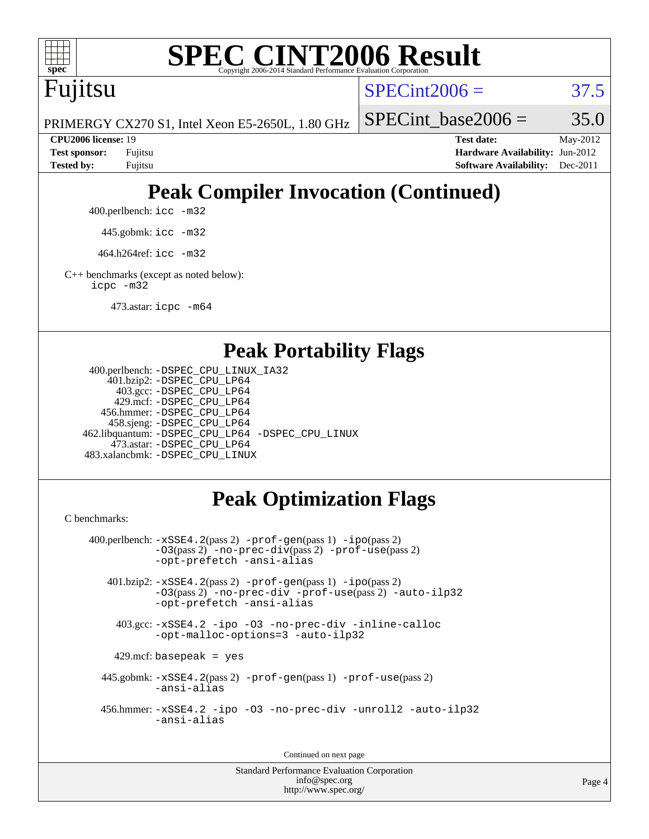

# **[SPEC CINT2006 Result](http://www.spec.org/auto/cpu2006/Docs/result-fields.html#SPECCINT2006Result)**

Fujitsu

 $SPECint2006 = 37.5$  $SPECint2006 = 37.5$ 

PRIMERGY CX270 S1, Intel Xeon E5-2650L, 1.80 GHz

SPECint base2006 =  $35.0$ 

**[CPU2006 license:](http://www.spec.org/auto/cpu2006/Docs/result-fields.html#CPU2006license)** 19 **[Test date:](http://www.spec.org/auto/cpu2006/Docs/result-fields.html#Testdate)** May-2012 **[Test sponsor:](http://www.spec.org/auto/cpu2006/Docs/result-fields.html#Testsponsor)** Fujitsu **[Hardware Availability:](http://www.spec.org/auto/cpu2006/Docs/result-fields.html#HardwareAvailability)** Jun-2012 **[Tested by:](http://www.spec.org/auto/cpu2006/Docs/result-fields.html#Testedby)** Fujitsu **[Software Availability:](http://www.spec.org/auto/cpu2006/Docs/result-fields.html#SoftwareAvailability)** Dec-2011

# **[Peak Compiler Invocation \(Continued\)](http://www.spec.org/auto/cpu2006/Docs/result-fields.html#PeakCompilerInvocation)**

400.perlbench: [icc -m32](http://www.spec.org/cpu2006/results/res2012q3/cpu2006-20120620-23134.flags.html#user_peakCCLD400_perlbench_intel_icc_a6a621f8d50482236b970c6ac5f55f93)

445.gobmk: [icc -m32](http://www.spec.org/cpu2006/results/res2012q3/cpu2006-20120620-23134.flags.html#user_peakCCLD445_gobmk_intel_icc_a6a621f8d50482236b970c6ac5f55f93)

464.h264ref: [icc -m32](http://www.spec.org/cpu2006/results/res2012q3/cpu2006-20120620-23134.flags.html#user_peakCCLD464_h264ref_intel_icc_a6a621f8d50482236b970c6ac5f55f93)

[C++ benchmarks \(except as noted below\):](http://www.spec.org/auto/cpu2006/Docs/result-fields.html#CXXbenchmarksexceptasnotedbelow) [icpc -m32](http://www.spec.org/cpu2006/results/res2012q3/cpu2006-20120620-23134.flags.html#user_CXXpeak_intel_icpc_4e5a5ef1a53fd332b3c49e69c3330699)

473.astar: [icpc -m64](http://www.spec.org/cpu2006/results/res2012q3/cpu2006-20120620-23134.flags.html#user_peakCXXLD473_astar_intel_icpc_64bit_fc66a5337ce925472a5c54ad6a0de310)

#### **[Peak Portability Flags](http://www.spec.org/auto/cpu2006/Docs/result-fields.html#PeakPortabilityFlags)**

```
 400.perlbench: -DSPEC_CPU_LINUX_IA32
    401.bzip2: -DSPEC_CPU_LP64
      403.gcc: -DSPEC_CPU_LP64
     429.mcf: -DSPEC_CPU_LP64
   456.hmmer: -DSPEC_CPU_LP64
    458.sjeng: -DSPEC_CPU_LP64
462.libquantum: -DSPEC_CPU_LP64 -DSPEC_CPU_LINUX
     473.astar: -DSPEC_CPU_LP64
483.xalancbmk: -DSPEC_CPU_LINUX
```
### **[Peak Optimization Flags](http://www.spec.org/auto/cpu2006/Docs/result-fields.html#PeakOptimizationFlags)**

[C benchmarks](http://www.spec.org/auto/cpu2006/Docs/result-fields.html#Cbenchmarks):

```
 400.perlbench: -xSSE4.2(pass 2) -prof-gen(pass 1) -ipo(pass 2)
           -O3(pass 2) -no-prec-div(pass 2) -prof-use(pass 2)
          -opt-prefetch -ansi-alias
   401.bzip2: -xSSE4.2(pass 2) -prof-gen(pass 1) -ipo(pass 2)
           -O3(pass 2) -no-prec-div -prof-use(pass 2) -auto-ilp32
           -opt-prefetch -ansi-alias
    403.gcc: -xSSE4.2 -ipo -O3 -no-prec-div -inline-calloc
           -opt-malloc-options=3 -auto-ilp32
   429.mcf: basepeak = yes
  445.gobmk: -xSSE4.2(pass 2) -prof-gen(pass 1) -prof-use(pass 2)
           -ansi-alias
  456.hmmer: -xSSE4.2 -ipo -O3 -no-prec-div -unroll2 -auto-ilp32
           -ansi-alias
```
Continued on next page

Standard Performance Evaluation Corporation [info@spec.org](mailto:info@spec.org) <http://www.spec.org/>